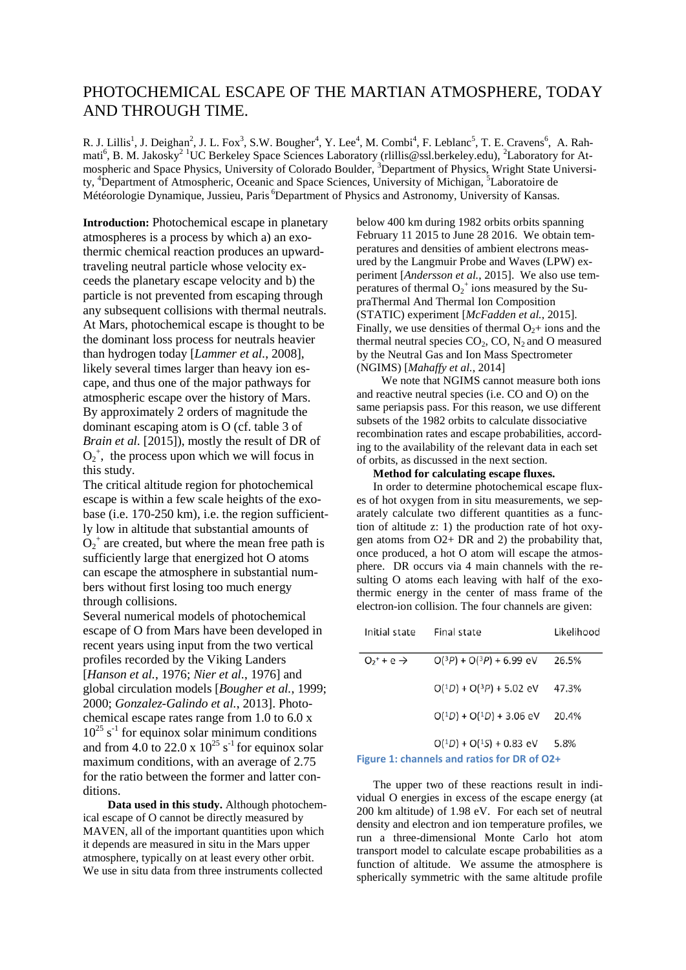## PHOTOCHEMICAL ESCAPE OF THE MARTIAN ATMOSPHERE, TODAY AND THROUGH TIME.

R. J. Lillis<sup>1</sup>, J. Deighan<sup>2</sup>, J. L. Fox<sup>3</sup>, S.W. Bougher<sup>4</sup>, Y. Lee<sup>4</sup>, M. Combi<sup>4</sup>, F. Leblanc<sup>5</sup>, T. E. Cravens<sup>6</sup>, A. Rahmati<sup>6</sup>, B. M. Jakosky<sup>2 1</sup>UC Berkeley Space Sciences Laboratory (rlillis@ssl.berkeley.edu), <sup>2</sup>Laboratory for Atmospheric and Space Physics, University of Colorado Boulder, <sup>3</sup>Department of Physics, Wright State University, <sup>4</sup>Department of Atmospheric, Oceanic and Space Sciences, University of Michigan, <sup>5</sup>Laboratoire de Météorologie Dynamique, Jussieu, Paris <sup>6</sup>Department of Physics and Astronomy, University of Kansas.

**Introduction:** Photochemical escape in planetary atmospheres is a process by which a) an exothermic chemical reaction produces an upwardtraveling neutral particle whose velocity exceeds the planetary escape velocity and b) the particle is not prevented from escaping through any subsequent collisions with thermal neutrals. At Mars, photochemical escape is thought to be the dominant loss process for neutrals heavier than hydrogen today [*Lammer et al.*, 2008], likely several times larger than heavy ion escape, and thus one of the major pathways for atmospheric escape over the history of Mars. By approximately 2 orders of magnitude the dominant escaping atom is O (cf. table 3 of *Brain et al.* [2015]), mostly the result of DR of  $O_2^+$ , the process upon which we will focus in this study.

The critical altitude region for photochemical escape is within a few scale heights of the exobase (i.e. 170-250 km), i.e. the region sufficiently low in altitude that substantial amounts of  $\overline{O_2}^+$  are created, but where the mean free path is sufficiently large that energized hot O atoms can escape the atmosphere in substantial numbers without first losing too much energy through collisions.

Several numerical models of photochemical escape of O from Mars have been developed in recent years using input from the two vertical profiles recorded by the Viking Landers [*Hanson et al.*, 1976; *Nier et al.*, 1976] and global circulation models [*Bougher et al.*, 1999; 2000; *Gonzalez-Galindo et al.*, 2013]. Photochemical escape rates range from 1.0 to 6.0 x  $10^{25}$  s<sup>-1</sup> for equinox solar minimum conditions and from 4.0 to 22.0 x  $10^{25}$  s<sup>-1</sup> for equinox solar maximum conditions, with an average of 2.75 for the ratio between the former and latter conditions.

**Data used in this study.** Although photochemical escape of O cannot be directly measured by MAVEN, all of the important quantities upon which it depends are measured in situ in the Mars upper atmosphere, typically on at least every other orbit. We use in situ data from three instruments collected

below 400 km during 1982 orbits orbits spanning February 11 2015 to June 28 2016. We obtain temperatures and densities of ambient electrons measured by the Langmuir Probe and Waves (LPW) experiment [*Andersson et al.*, 2015]. We also use temperatures of thermal  $O_2^+$  ions measured by the SupraThermal And Thermal Ion Composition (STATIC) experiment [*McFadden et al.*, 2015]. Finally, we use densities of thermal  $O_2$ + ions and the thermal neutral species  $CO<sub>2</sub>$ ,  $CO$ ,  $N<sub>2</sub>$  and O measured by the Neutral Gas and Ion Mass Spectrometer (NGIMS) [*Mahaffy et al.*, 2014]

We note that NGIMS cannot measure both ions and reactive neutral species (i.e. CO and O) on the same periapsis pass. For this reason, we use different subsets of the 1982 orbits to calculate dissociative recombination rates and escape probabilities, according to the availability of the relevant data in each set of orbits, as discussed in the next section.

## **Method for calculating escape fluxes.**

In order to determine photochemical escape fluxes of hot oxygen from in situ measurements, we separately calculate two different quantities as a function of altitude z: 1) the production rate of hot oxygen atoms from O2+ DR and 2) the probability that, once produced, a hot O atom will escape the atmosphere. DR occurs via 4 main channels with the resulting O atoms each leaving with half of the exothermic energy in the center of mass frame of the electron-ion collision. The four channels are given:

| Initial state                               | Final state                     | Likelihood |
|---------------------------------------------|---------------------------------|------------|
| $O_2$ + e $\rightarrow$                     | $O(3P) + O(3P) + 6.99$ eV       | 26.5%      |
|                                             | $O(^{1}D) + O(^{3}P) + 5.02$ eV | 47.3%      |
|                                             | $O(^{1}D) + O(^{1}D) + 3.06$ eV | 20.4%      |
|                                             | $O(^{1}D) + O(^{1}S) + 0.83$ eV | 5.8%       |
| Figure 1: channels and ratios for DR of O2+ |                                 |            |

The upper two of these reactions result in individual O energies in excess of the escape energy (at 200 km altitude) of 1.98 eV. For each set of neutral density and electron and ion temperature profiles, we run a three-dimensional Monte Carlo hot atom transport model to calculate escape probabilities as a function of altitude. We assume the atmosphere is spherically symmetric with the same altitude profile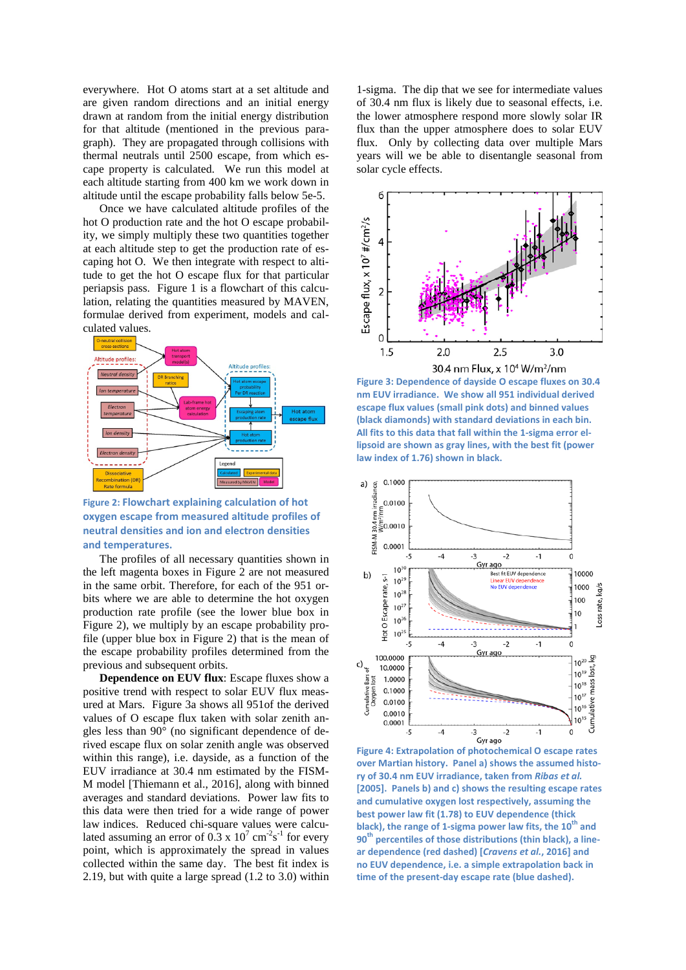everywhere. Hot O atoms start at a set altitude and are given random directions and an initial energy drawn at random from the initial energy distribution for that altitude (mentioned in the previous paragraph). They are propagated through collisions with thermal neutrals until 2500 escape, from which escape property is calculated. We run this model at each altitude starting from 400 km we work down in altitude until the escape probability falls below 5e-5.

Once we have calculated altitude profiles of the hot O production rate and the hot O escape probability, we simply multiply these two quantities together at each altitude step to get the production rate of escaping hot O. We then integrate with respect to altitude to get the hot O escape flux for that particular periapsis pass. Figure 1 is a flowchart of this calculation, relating the quantities measured by MAVEN, formulae derived from experiment, models and calculated values.



**Figure 2: Flowchart explaining calculation of hot oxygen escape from measured altitude profiles of neutral densities and ion and electron densities and temperatures.**

The profiles of all necessary quantities shown in the left magenta boxes in Figure 2 are not measured in the same orbit. Therefore, for each of the 951 orbits where we are able to determine the hot oxygen production rate profile (see the lower blue box in Figure 2), we multiply by an escape probability profile (upper blue box in Figure 2) that is the mean of the escape probability profiles determined from the previous and subsequent orbits.

**Dependence on EUV flux**: Escape fluxes show a positive trend with respect to solar EUV flux measured at Mars. Figure 3a shows all 951of the derived values of O escape flux taken with solar zenith angles less than 90° (no significant dependence of derived escape flux on solar zenith angle was observed within this range), i.e. dayside, as a function of the EUV irradiance at 30.4 nm estimated by the FISM-M model [Thiemann et al., 2016], along with binned averages and standard deviations. Power law fits to this data were then tried for a wide range of power law indices. Reduced chi-square values were calculated assuming an error of  $0.3 \times 10^7 \text{ cm}^2 \text{s}^{-1}$  for every point, which is approximately the spread in values collected within the same day. The best fit index is 2.19, but with quite a large spread (1.2 to 3.0) within

1-sigma. The dip that we see for intermediate values of 30.4 nm flux is likely due to seasonal effects, i.e. the lower atmosphere respond more slowly solar IR flux than the upper atmosphere does to solar EUV flux. Only by collecting data over multiple Mars years will we be able to disentangle seasonal from solar cycle effects.



**Figure 3: Dependence of dayside O escape fluxes on 30.4 nm EUV irradiance. We show all 951 individual derived escape flux values (small pink dots) and binned values (black diamonds) with standard deviations in each bin. All fits to this data that fall within the 1-sigma error ellipsoid are shown as gray lines, with the best fit (power law index of 1.76) shown in black.** 



**Figure 4: Extrapolation of photochemical O escape rates over Martian history. Panel a) shows the assumed history of 30.4 nm EUV irradiance, taken from** *Ribas et al.* **[2005]. Panels b) and c) shows the resulting escape rates and cumulative oxygen lost respectively, assuming the best power law fit (1.78) to EUV dependence (thick black), the range of 1-sigma power law fits, the 10<sup>th</sup> and 90th percentiles of those distributions (thin black), a linear dependence (red dashed) [***Cravens et al.***, 2016] and no EUV dependence, i.e. a simple extrapolation back in time of the present-day escape rate (blue dashed).**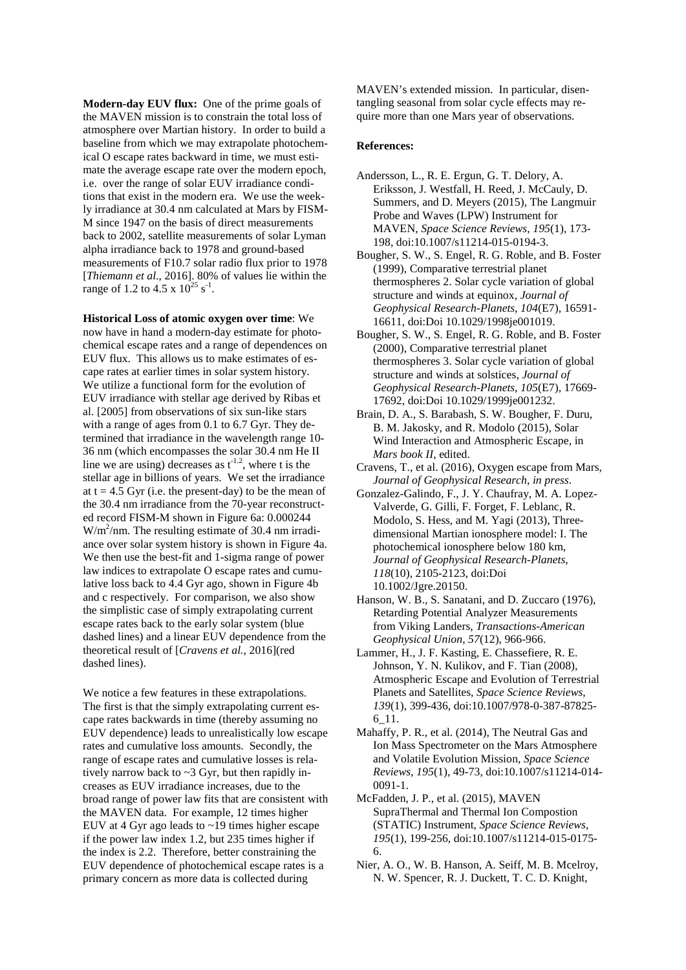**Modern-day EUV flux:** One of the prime goals of the MAVEN mission is to constrain the total loss of atmosphere over Martian history. In order to build a baseline from which we may extrapolate photochemical O escape rates backward in time, we must estimate the average escape rate over the modern epoch, i.e. over the range of solar EUV irradiance conditions that exist in the modern era. We use the weekly irradiance at 30.4 nm calculated at Mars by FISM-M since 1947 on the basis of direct measurements back to 2002, satellite measurements of solar Lyman alpha irradiance back to 1978 and ground-based measurements of F10.7 solar radio flux prior to 1978 [*Thiemann et al.*, 2016]. 80% of values lie within the range of 1.2 to 4.5 x  $10^{25}$  s<sup>-1</sup>.

**Historical Loss of atomic oxygen over time**: We now have in hand a modern-day estimate for photochemical escape rates and a range of dependences on EUV flux. This allows us to make estimates of escape rates at earlier times in solar system history. We utilize a functional form for the evolution of EUV irradiance with stellar age derived by Ribas et al. [2005] from observations of six sun-like stars with a range of ages from 0.1 to 6.7 Gyr. They determined that irradiance in the wavelength range 10- 36 nm (which encompasses the solar 30.4 nm He II line we are using) decreases as  $t^{-1.2}$ , where t is the stellar age in billions of years. We set the irradiance at  $t = 4.5$  Gyr (i.e. the present-day) to be the mean of the 30.4 nm irradiance from the 70-year reconstructed record FISM-M shown in Figure 6a: 0.000244  $W/m^2$ /nm. The resulting estimate of 30.4 nm irradiance over solar system history is shown in Figure 4a. We then use the best-fit and 1-sigma range of power law indices to extrapolate O escape rates and cumulative loss back to 4.4 Gyr ago, shown in Figure 4b and c respectively. For comparison, we also show the simplistic case of simply extrapolating current escape rates back to the early solar system (blue dashed lines) and a linear EUV dependence from the theoretical result of [*Cravens et al.*, 2016](red dashed lines).

We notice a few features in these extrapolations. The first is that the simply extrapolating current escape rates backwards in time (thereby assuming no EUV dependence) leads to unrealistically low escape rates and cumulative loss amounts. Secondly, the range of escape rates and cumulative losses is relatively narrow back to ~3 Gyr, but then rapidly increases as EUV irradiance increases, due to the broad range of power law fits that are consistent with the MAVEN data. For example, 12 times higher EUV at 4 Gyr ago leads to  $\sim$ 19 times higher escape if the power law index 1.2, but 235 times higher if the index is 2.2. Therefore, better constraining the EUV dependence of photochemical escape rates is a primary concern as more data is collected during

MAVEN's extended mission. In particular, disentangling seasonal from solar cycle effects may require more than one Mars year of observations.

## **References:**

- Andersson, L., R. E. Ergun, G. T. Delory, A. Eriksson, J. Westfall, H. Reed, J. McCauly, D. Summers, and D. Meyers (2015), The Langmuir Probe and Waves (LPW) Instrument for MAVEN, *Space Science Reviews*, *195*(1), 173- 198, doi:10.1007/s11214-015-0194-3.
- Bougher, S. W., S. Engel, R. G. Roble, and B. Foster (1999), Comparative terrestrial planet thermospheres 2. Solar cycle variation of global structure and winds at equinox, *Journal of Geophysical Research-Planets*, *104*(E7), 16591- 16611, doi:Doi 10.1029/1998je001019.
- Bougher, S. W., S. Engel, R. G. Roble, and B. Foster (2000), Comparative terrestrial planet thermospheres 3. Solar cycle variation of global structure and winds at solstices, *Journal of Geophysical Research-Planets*, *105*(E7), 17669- 17692, doi:Doi 10.1029/1999je001232.
- Brain, D. A., S. Barabash, S. W. Bougher, F. Duru, B. M. Jakosky, and R. Modolo (2015), Solar Wind Interaction and Atmospheric Escape, in *Mars book II*, edited.
- Cravens, T., et al. (2016), Oxygen escape from Mars, *Journal of Geophysical Research*, *in press*.
- Gonzalez-Galindo, F., J. Y. Chaufray, M. A. Lopez-Valverde, G. Gilli, F. Forget, F. Leblanc, R. Modolo, S. Hess, and M. Yagi (2013), Threedimensional Martian ionosphere model: I. The photochemical ionosphere below 180 km, *Journal of Geophysical Research-Planets*, *118*(10), 2105-2123, doi:Doi 10.1002/Jgre.20150.
- Hanson, W. B., S. Sanatani, and D. Zuccaro (1976), Retarding Potential Analyzer Measurements from Viking Landers, *Transactions-American Geophysical Union*, *57*(12), 966-966.
- Lammer, H., J. F. Kasting, E. Chassefiere, R. E. Johnson, Y. N. Kulikov, and F. Tian (2008), Atmospheric Escape and Evolution of Terrestrial Planets and Satellites, *Space Science Reviews*, *139*(1), 399-436, doi:10.1007/978-0-387-87825- 6\_11.
- Mahaffy, P. R., et al. (2014), The Neutral Gas and Ion Mass Spectrometer on the Mars Atmosphere and Volatile Evolution Mission, *Space Science Reviews*, *195*(1), 49-73, doi:10.1007/s11214-014- 0091-1.
- McFadden, J. P., et al. (2015), MAVEN SupraThermal and Thermal Ion Compostion (STATIC) Instrument, *Space Science Reviews*, *195*(1), 199-256, doi:10.1007/s11214-015-0175- 6.
- Nier, A. O., W. B. Hanson, A. Seiff, M. B. Mcelroy, N. W. Spencer, R. J. Duckett, T. C. D. Knight,